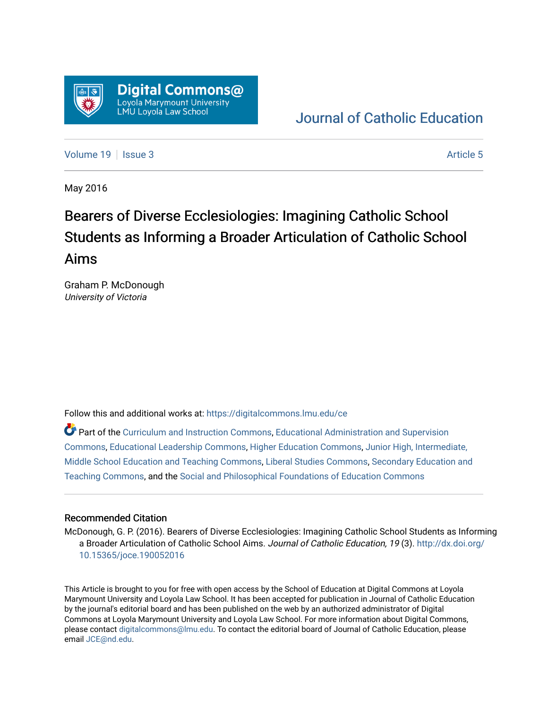

## [Journal of Catholic Education](https://digitalcommons.lmu.edu/ce)

[Volume 19](https://digitalcommons.lmu.edu/ce/vol19) | [Issue 3](https://digitalcommons.lmu.edu/ce/vol19/iss3) Article 5

May 2016

# Bearers of Diverse Ecclesiologies: Imagining Catholic School Students as Informing a Broader Articulation of Catholic School Aims

Graham P. McDonough University of Victoria

Follow this and additional works at: [https://digitalcommons.lmu.edu/ce](https://digitalcommons.lmu.edu/ce?utm_source=digitalcommons.lmu.edu%2Fce%2Fvol19%2Fiss3%2F5&utm_medium=PDF&utm_campaign=PDFCoverPages)

Part of the [Curriculum and Instruction Commons,](https://network.bepress.com/hgg/discipline/786?utm_source=digitalcommons.lmu.edu%2Fce%2Fvol19%2Fiss3%2F5&utm_medium=PDF&utm_campaign=PDFCoverPages) [Educational Administration and Supervision](https://network.bepress.com/hgg/discipline/787?utm_source=digitalcommons.lmu.edu%2Fce%2Fvol19%2Fiss3%2F5&utm_medium=PDF&utm_campaign=PDFCoverPages)  [Commons](https://network.bepress.com/hgg/discipline/787?utm_source=digitalcommons.lmu.edu%2Fce%2Fvol19%2Fiss3%2F5&utm_medium=PDF&utm_campaign=PDFCoverPages), [Educational Leadership Commons,](https://network.bepress.com/hgg/discipline/1230?utm_source=digitalcommons.lmu.edu%2Fce%2Fvol19%2Fiss3%2F5&utm_medium=PDF&utm_campaign=PDFCoverPages) [Higher Education Commons](https://network.bepress.com/hgg/discipline/1245?utm_source=digitalcommons.lmu.edu%2Fce%2Fvol19%2Fiss3%2F5&utm_medium=PDF&utm_campaign=PDFCoverPages), [Junior High, Intermediate,](https://network.bepress.com/hgg/discipline/807?utm_source=digitalcommons.lmu.edu%2Fce%2Fvol19%2Fiss3%2F5&utm_medium=PDF&utm_campaign=PDFCoverPages)  [Middle School Education and Teaching Commons,](https://network.bepress.com/hgg/discipline/807?utm_source=digitalcommons.lmu.edu%2Fce%2Fvol19%2Fiss3%2F5&utm_medium=PDF&utm_campaign=PDFCoverPages) [Liberal Studies Commons](https://network.bepress.com/hgg/discipline/1042?utm_source=digitalcommons.lmu.edu%2Fce%2Fvol19%2Fiss3%2F5&utm_medium=PDF&utm_campaign=PDFCoverPages), [Secondary Education and](https://network.bepress.com/hgg/discipline/809?utm_source=digitalcommons.lmu.edu%2Fce%2Fvol19%2Fiss3%2F5&utm_medium=PDF&utm_campaign=PDFCoverPages) [Teaching Commons](https://network.bepress.com/hgg/discipline/809?utm_source=digitalcommons.lmu.edu%2Fce%2Fvol19%2Fiss3%2F5&utm_medium=PDF&utm_campaign=PDFCoverPages), and the [Social and Philosophical Foundations of Education Commons](https://network.bepress.com/hgg/discipline/799?utm_source=digitalcommons.lmu.edu%2Fce%2Fvol19%2Fiss3%2F5&utm_medium=PDF&utm_campaign=PDFCoverPages) 

#### Recommended Citation

McDonough, G. P. (2016). Bearers of Diverse Ecclesiologies: Imagining Catholic School Students as Informing a Broader Articulation of Catholic School Aims. Journal of Catholic Education, 19 (3). [http://dx.doi.org/](http://dx.doi.org/10.15365/joce.190052016) [10.15365/joce.190052016](http://dx.doi.org/10.15365/joce.190052016)

This Article is brought to you for free with open access by the School of Education at Digital Commons at Loyola Marymount University and Loyola Law School. It has been accepted for publication in Journal of Catholic Education by the journal's editorial board and has been published on the web by an authorized administrator of Digital Commons at Loyola Marymount University and Loyola Law School. For more information about Digital Commons, please contact [digitalcommons@lmu.edu](mailto:digitalcommons@lmu.edu). To contact the editorial board of Journal of Catholic Education, please email [JCE@nd.edu](mailto:JCE@nd.edu).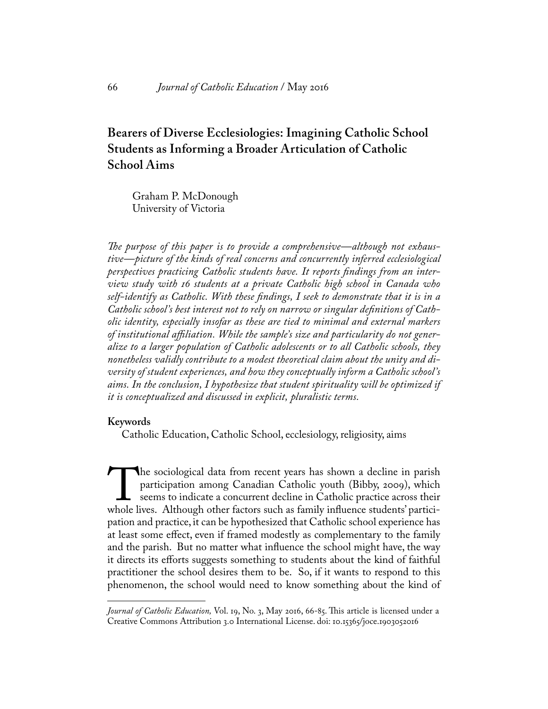### **Bearers of Diverse Ecclesiologies: Imagining Catholic School Students as Informing a Broader Articulation of Catholic School Aims**

Graham P. McDonough University of Victoria

*The purpose of this paper is to provide a comprehensive—although not exhaustive—picture of the kinds of real concerns and concurrently inferred ecclesiological perspectives practicing Catholic students have. It reports findings from an interview study with 16 students at a private Catholic high school in Canada who self-identify as Catholic. With these findings, I seek to demonstrate that it is in a Catholic school's best interest not to rely on narrow or singular definitions of Catholic identity, especially insofar as these are tied to minimal and external markers of institutional affiliation. While the sample's size and particularity do not generalize to a larger population of Catholic adolescents or to all Catholic schools, they nonetheless validly contribute to a modest theoretical claim about the unity and diversity of student experiences, and how they conceptually inform a Catholic school's aims. In the conclusion, I hypothesize that student spirituality will be optimized if it is conceptualized and discussed in explicit, pluralistic terms.*

#### **Keywords**

Catholic Education, Catholic School, ecclesiology, religiosity, aims

The sociological data from recent years has shown a decline in parish<br>participation among Canadian Catholic youth (Bibby, 2009), which<br>seems to indicate a concurrent decline in Catholic practice across their<br>whole lives. A participation among Canadian Catholic youth (Bibby, 2009), which seems to indicate a concurrent decline in Catholic practice across their whole lives. Although other factors such as family influence students' participation and practice, it can be hypothesized that Catholic school experience has at least some effect, even if framed modestly as complementary to the family and the parish. But no matter what influence the school might have, the way it directs its efforts suggests something to students about the kind of faithful practitioner the school desires them to be. So, if it wants to respond to this phenomenon, the school would need to know something about the kind of

*Journal of Catholic Education,* Vol. 19, No. 3, May 2016, 66-85. This article is licensed under a Creative Commons Attribution 3.0 International License. doi: 10.15365/joce.1903052016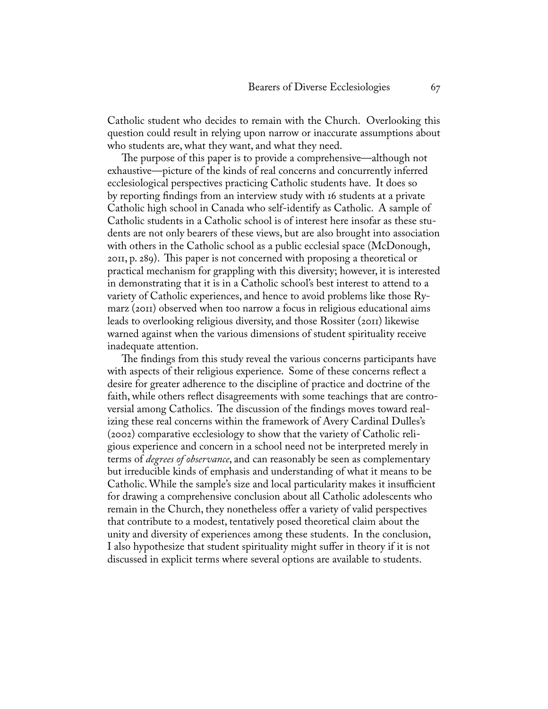Catholic student who decides to remain with the Church. Overlooking this question could result in relying upon narrow or inaccurate assumptions about who students are, what they want, and what they need.

The purpose of this paper is to provide a comprehensive—although not exhaustive—picture of the kinds of real concerns and concurrently inferred ecclesiological perspectives practicing Catholic students have. It does so by reporting findings from an interview study with 16 students at a private Catholic high school in Canada who self-identify as Catholic. A sample of Catholic students in a Catholic school is of interest here insofar as these students are not only bearers of these views, but are also brought into association with others in the Catholic school as a public ecclesial space (McDonough, 2011, p. 289). This paper is not concerned with proposing a theoretical or practical mechanism for grappling with this diversity; however, it is interested in demonstrating that it is in a Catholic school's best interest to attend to a variety of Catholic experiences, and hence to avoid problems like those Rymarz (2011) observed when too narrow a focus in religious educational aims leads to overlooking religious diversity, and those Rossiter (2011) likewise warned against when the various dimensions of student spirituality receive inadequate attention.

The findings from this study reveal the various concerns participants have with aspects of their religious experience. Some of these concerns reflect a desire for greater adherence to the discipline of practice and doctrine of the faith, while others reflect disagreements with some teachings that are controversial among Catholics. The discussion of the findings moves toward realizing these real concerns within the framework of Avery Cardinal Dulles's (2002) comparative ecclesiology to show that the variety of Catholic religious experience and concern in a school need not be interpreted merely in terms of *degrees of observance*, and can reasonably be seen as complementary but irreducible kinds of emphasis and understanding of what it means to be Catholic. While the sample's size and local particularity makes it insufficient for drawing a comprehensive conclusion about all Catholic adolescents who remain in the Church, they nonetheless offer a variety of valid perspectives that contribute to a modest, tentatively posed theoretical claim about the unity and diversity of experiences among these students. In the conclusion, I also hypothesize that student spirituality might suffer in theory if it is not discussed in explicit terms where several options are available to students.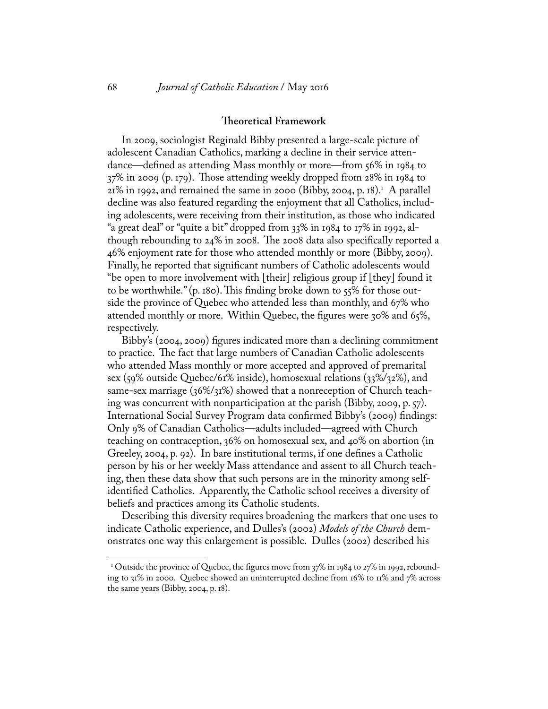#### **Theoretical Framework**

In 2009, sociologist Reginald Bibby presented a large-scale picture of adolescent Canadian Catholics, marking a decline in their service attendance—defined as attending Mass monthly or more—from 56% in 1984 to 37% in 2009 (p. 179). Those attending weekly dropped from 28% in 1984 to 21% in 1992, and remained the same in 2000 (Bibby, 2004, p. 18).<sup>1</sup> A parallel decline was also featured regarding the enjoyment that all Catholics, including adolescents, were receiving from their institution, as those who indicated "a great deal" or "quite a bit" dropped from 33% in 1984 to 17% in 1992, although rebounding to 24% in 2008. The 2008 data also specifically reported a 46% enjoyment rate for those who attended monthly or more (Bibby, 2009). Finally, he reported that significant numbers of Catholic adolescents would "be open to more involvement with [their] religious group if [they] found it to be worthwhile." (p. 180). This finding broke down to 55% for those outside the province of Quebec who attended less than monthly, and 67% who attended monthly or more. Within Quebec, the figures were 30% and 65%, respectively.

Bibby's (2004, 2009) figures indicated more than a declining commitment to practice. The fact that large numbers of Canadian Catholic adolescents who attended Mass monthly or more accepted and approved of premarital sex (59% outside Quebec/61% inside), homosexual relations (33%/32%), and same-sex marriage (36%/31%) showed that a nonreception of Church teaching was concurrent with nonparticipation at the parish (Bibby, 2009, p. 57). International Social Survey Program data confirmed Bibby's (2009) findings: Only 9% of Canadian Catholics—adults included—agreed with Church teaching on contraception, 36% on homosexual sex, and 40% on abortion (in Greeley, 2004, p. 92). In bare institutional terms, if one defines a Catholic person by his or her weekly Mass attendance and assent to all Church teaching, then these data show that such persons are in the minority among selfidentified Catholics. Apparently, the Catholic school receives a diversity of beliefs and practices among its Catholic students.

Describing this diversity requires broadening the markers that one uses to indicate Catholic experience, and Dulles's (2002) *Models of the Church* demonstrates one way this enlargement is possible. Dulles (2002) described his

<sup>&</sup>lt;sup>1</sup> Outside the province of Quebec, the figures move from  $37\%$  in 1984 to 27% in 1992, rebounding to 31% in 2000. Quebec showed an uninterrupted decline from 16% to 11% and 7% across the same years (Bibby, 2004, p. 18).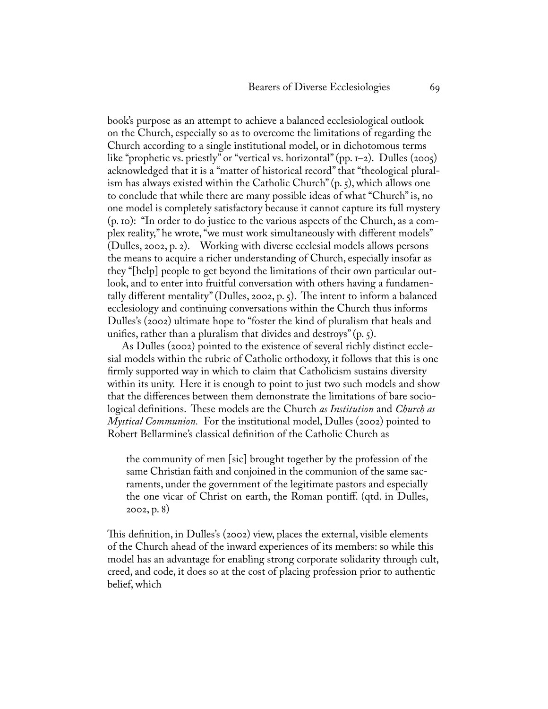book's purpose as an attempt to achieve a balanced ecclesiological outlook on the Church, especially so as to overcome the limitations of regarding the Church according to a single institutional model, or in dichotomous terms like "prophetic vs. priestly" or "vertical vs. horizontal" (pp.  $I=2$ ). Dulles (2005) acknowledged that it is a "matter of historical record" that "theological pluralism has always existed within the Catholic Church"  $(p, \zeta)$ , which allows one to conclude that while there are many possible ideas of what "Church" is, no one model is completely satisfactory because it cannot capture its full mystery (p. 10): "In order to do justice to the various aspects of the Church, as a complex reality," he wrote, "we must work simultaneously with different models" (Dulles, 2002, p. 2). Working with diverse ecclesial models allows persons the means to acquire a richer understanding of Church, especially insofar as they "[help] people to get beyond the limitations of their own particular outlook, and to enter into fruitful conversation with others having a fundamentally different mentality" (Dulles, 2002, p. 5). The intent to inform a balanced ecclesiology and continuing conversations within the Church thus informs Dulles's (2002) ultimate hope to "foster the kind of pluralism that heals and unifies, rather than a pluralism that divides and destroys"  $(p, 5)$ .

As Dulles (2002) pointed to the existence of several richly distinct ecclesial models within the rubric of Catholic orthodoxy, it follows that this is one firmly supported way in which to claim that Catholicism sustains diversity within its unity. Here it is enough to point to just two such models and show that the differences between them demonstrate the limitations of bare sociological definitions. These models are the Church *as Institution* and *Church as Mystical Communion.* For the institutional model, Dulles (2002) pointed to Robert Bellarmine's classical definition of the Catholic Church as

the community of men [sic] brought together by the profession of the same Christian faith and conjoined in the communion of the same sacraments, under the government of the legitimate pastors and especially the one vicar of Christ on earth, the Roman pontiff. (qtd. in Dulles, 2002, p. 8)

This definition, in Dulles's (2002) view, places the external, visible elements of the Church ahead of the inward experiences of its members: so while this model has an advantage for enabling strong corporate solidarity through cult, creed, and code, it does so at the cost of placing profession prior to authentic belief, which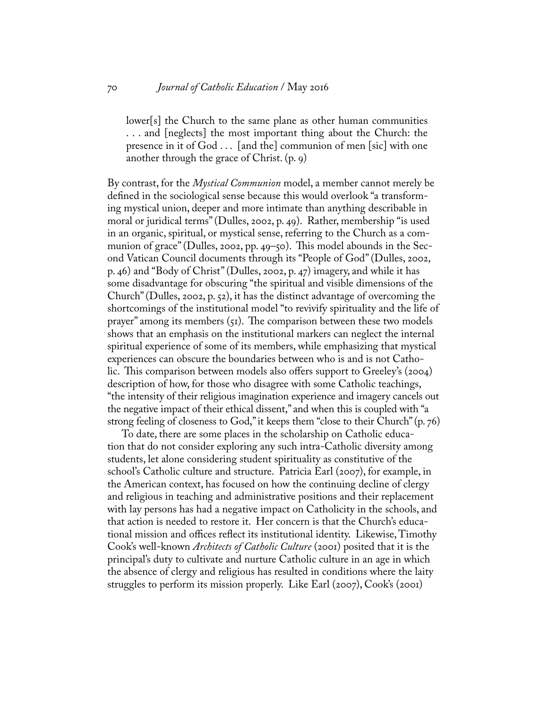lower[s] the Church to the same plane as other human communities . . . and [neglects] the most important thing about the Church: the presence in it of God . . . [and the] communion of men [sic] with one another through the grace of Christ. (p. 9)

By contrast, for the *Mystical Communion* model, a member cannot merely be defined in the sociological sense because this would overlook "a transforming mystical union, deeper and more intimate than anything describable in moral or juridical terms" (Dulles, 2002, p. 49). Rather, membership "is used in an organic, spiritual, or mystical sense, referring to the Church as a communion of grace" (Dulles, 2002, pp. 49–50). This model abounds in the Second Vatican Council documents through its "People of God" (Dulles, 2002, p. 46) and "Body of Christ" (Dulles, 2002, p. 47) imagery, and while it has some disadvantage for obscuring "the spiritual and visible dimensions of the Church" (Dulles, 2002, p. 52), it has the distinct advantage of overcoming the shortcomings of the institutional model "to revivify spirituality and the life of prayer" among its members (51). The comparison between these two models shows that an emphasis on the institutional markers can neglect the internal spiritual experience of some of its members, while emphasizing that mystical experiences can obscure the boundaries between who is and is not Catholic. This comparison between models also offers support to Greeley's (2004) description of how, for those who disagree with some Catholic teachings, "the intensity of their religious imagination experience and imagery cancels out the negative impact of their ethical dissent," and when this is coupled with "a strong feeling of closeness to God," it keeps them "close to their Church" (p. 76)

To date, there are some places in the scholarship on Catholic education that do not consider exploring any such intra-Catholic diversity among students, let alone considering student spirituality as constitutive of the school's Catholic culture and structure. Patricia Earl (2007), for example, in the American context, has focused on how the continuing decline of clergy and religious in teaching and administrative positions and their replacement with lay persons has had a negative impact on Catholicity in the schools, and that action is needed to restore it. Her concern is that the Church's educational mission and offices reflect its institutional identity. Likewise, Timothy Cook's well-known *Architects of Catholic Culture* (2001) posited that it is the principal's duty to cultivate and nurture Catholic culture in an age in which the absence of clergy and religious has resulted in conditions where the laity struggles to perform its mission properly. Like Earl (2007), Cook's (2001)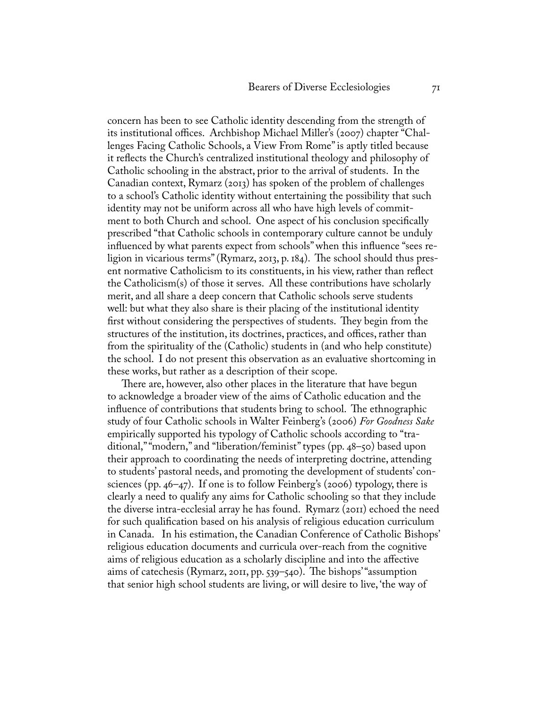concern has been to see Catholic identity descending from the strength of its institutional offices. Archbishop Michael Miller's (2007) chapter "Challenges Facing Catholic Schools, a View From Rome" is aptly titled because it reflects the Church's centralized institutional theology and philosophy of Catholic schooling in the abstract, prior to the arrival of students. In the Canadian context, Rymarz (2013) has spoken of the problem of challenges to a school's Catholic identity without entertaining the possibility that such identity may not be uniform across all who have high levels of commitment to both Church and school. One aspect of his conclusion specifically prescribed "that Catholic schools in contemporary culture cannot be unduly influenced by what parents expect from schools" when this influence "sees religion in vicarious terms" (Rymarz, 2013, p. 184). The school should thus present normative Catholicism to its constituents, in his view, rather than reflect the Catholicism(s) of those it serves. All these contributions have scholarly merit, and all share a deep concern that Catholic schools serve students well: but what they also share is their placing of the institutional identity first without considering the perspectives of students. They begin from the structures of the institution, its doctrines, practices, and offices, rather than from the spirituality of the (Catholic) students in (and who help constitute) the school. I do not present this observation as an evaluative shortcoming in these works, but rather as a description of their scope.

There are, however, also other places in the literature that have begun to acknowledge a broader view of the aims of Catholic education and the influence of contributions that students bring to school. The ethnographic study of four Catholic schools in Walter Feinberg's (2006) *For Goodness Sake* empirically supported his typology of Catholic schools according to "traditional," "modern," and "liberation/feminist" types (pp. 48–50) based upon their approach to coordinating the needs of interpreting doctrine, attending to students' pastoral needs, and promoting the development of students' consciences (pp. 46–47). If one is to follow Feinberg's (2006) typology, there is clearly a need to qualify any aims for Catholic schooling so that they include the diverse intra-ecclesial array he has found. Rymarz (2011) echoed the need for such qualification based on his analysis of religious education curriculum in Canada. In his estimation, the Canadian Conference of Catholic Bishops' religious education documents and curricula over-reach from the cognitive aims of religious education as a scholarly discipline and into the affective aims of catechesis (Rymarz, 2011, pp. 539–540). The bishops' "assumption that senior high school students are living, or will desire to live, 'the way of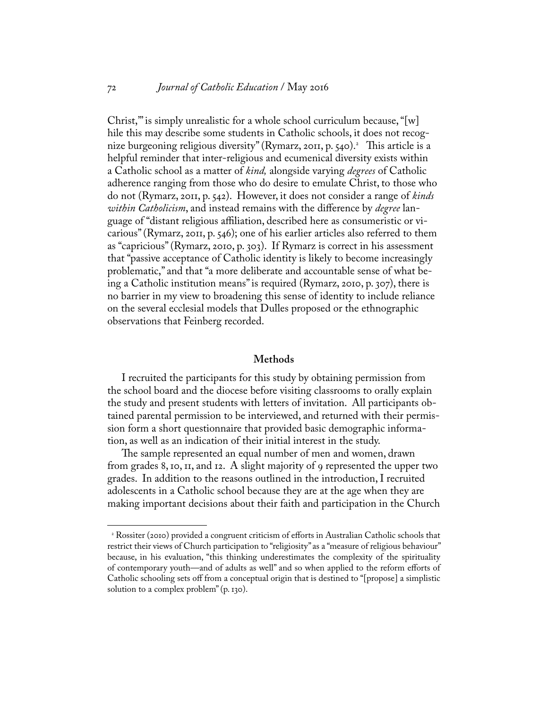Christ,'" is simply unrealistic for a whole school curriculum because, "[w] hile this may describe some students in Catholic schools, it does not recognize burgeoning religious diversity" (Rymarz, 2011, p. 540).<sup>2</sup> This article is a helpful reminder that inter-religious and ecumenical diversity exists within a Catholic school as a matter of *kind,* alongside varying *degrees* of Catholic adherence ranging from those who do desire to emulate Christ, to those who do not (Rymarz, 2011, p. 542). However, it does not consider a range of *kinds within Catholicism*, and instead remains with the difference by *degree* language of "distant religious affiliation, described here as consumeristic or vicarious" (Rymarz, 2011, p. 546); one of his earlier articles also referred to them as "capricious" (Rymarz, 2010, p. 303). If Rymarz is correct in his assessment that "passive acceptance of Catholic identity is likely to become increasingly problematic," and that "a more deliberate and accountable sense of what being a Catholic institution means" is required (Rymarz, 2010, p. 307), there is no barrier in my view to broadening this sense of identity to include reliance on the several ecclesial models that Dulles proposed or the ethnographic observations that Feinberg recorded.

#### **Methods**

I recruited the participants for this study by obtaining permission from the school board and the diocese before visiting classrooms to orally explain the study and present students with letters of invitation. All participants obtained parental permission to be interviewed, and returned with their permission form a short questionnaire that provided basic demographic information, as well as an indication of their initial interest in the study.

The sample represented an equal number of men and women, drawn from grades 8, 10, 11, and 12. A slight majority of 9 represented the upper two grades. In addition to the reasons outlined in the introduction, I recruited adolescents in a Catholic school because they are at the age when they are making important decisions about their faith and participation in the Church

 <sup>2</sup> Rossiter (2010) provided a congruent criticism of efforts in Australian Catholic schools that restrict their views of Church participation to "religiosity" as a "measure of religious behaviour" because, in his evaluation, "this thinking underestimates the complexity of the spirituality of contemporary youth—and of adults as well" and so when applied to the reform efforts of Catholic schooling sets off from a conceptual origin that is destined to "[propose] a simplistic solution to a complex problem" (p. 130).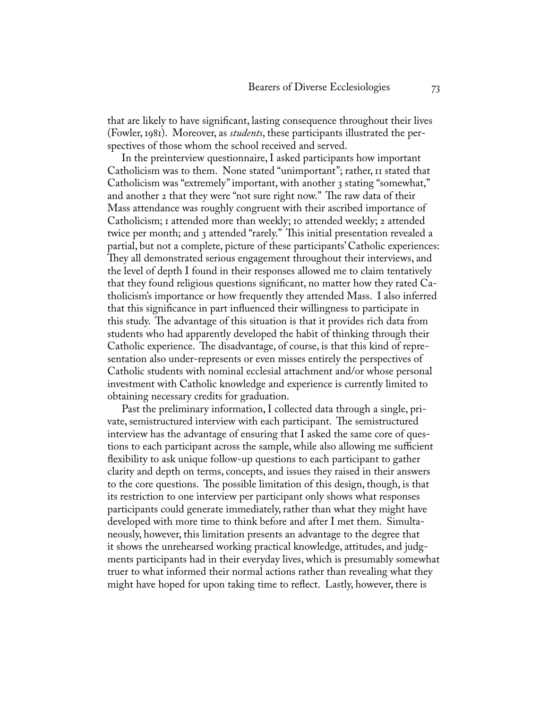that are likely to have significant, lasting consequence throughout their lives (Fowler, 1981). Moreover, as *students*, these participants illustrated the perspectives of those whom the school received and served.

In the preinterview questionnaire, I asked participants how important Catholicism was to them. None stated "unimportant"; rather, 11 stated that Catholicism was "extremely" important, with another 3 stating "somewhat," and another 2 that they were "not sure right now." The raw data of their Mass attendance was roughly congruent with their ascribed importance of Catholicism; 1 attended more than weekly; 10 attended weekly; 2 attended twice per month; and 3 attended "rarely." This initial presentation revealed a partial, but not a complete, picture of these participants' Catholic experiences: They all demonstrated serious engagement throughout their interviews, and the level of depth I found in their responses allowed me to claim tentatively that they found religious questions significant, no matter how they rated Catholicism's importance or how frequently they attended Mass. I also inferred that this significance in part influenced their willingness to participate in this study. The advantage of this situation is that it provides rich data from students who had apparently developed the habit of thinking through their Catholic experience. The disadvantage, of course, is that this kind of representation also under-represents or even misses entirely the perspectives of Catholic students with nominal ecclesial attachment and/or whose personal investment with Catholic knowledge and experience is currently limited to obtaining necessary credits for graduation.

Past the preliminary information, I collected data through a single, private, semistructured interview with each participant. The semistructured interview has the advantage of ensuring that I asked the same core of questions to each participant across the sample, while also allowing me sufficient flexibility to ask unique follow-up questions to each participant to gather clarity and depth on terms, concepts, and issues they raised in their answers to the core questions. The possible limitation of this design, though, is that its restriction to one interview per participant only shows what responses participants could generate immediately, rather than what they might have developed with more time to think before and after I met them. Simultaneously, however, this limitation presents an advantage to the degree that it shows the unrehearsed working practical knowledge, attitudes, and judgments participants had in their everyday lives, which is presumably somewhat truer to what informed their normal actions rather than revealing what they might have hoped for upon taking time to reflect. Lastly, however, there is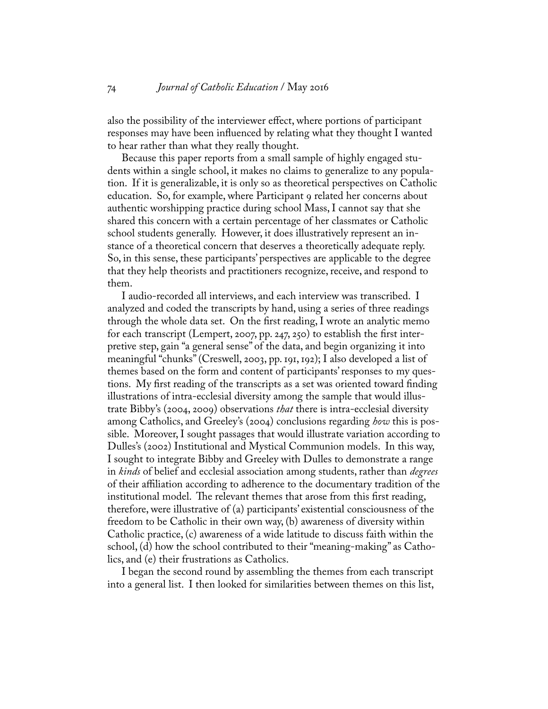also the possibility of the interviewer effect, where portions of participant responses may have been influenced by relating what they thought I wanted to hear rather than what they really thought.

Because this paper reports from a small sample of highly engaged students within a single school, it makes no claims to generalize to any population. If it is generalizable, it is only so as theoretical perspectives on Catholic education. So, for example, where Participant 9 related her concerns about authentic worshipping practice during school Mass, I cannot say that she shared this concern with a certain percentage of her classmates or Catholic school students generally. However, it does illustratively represent an instance of a theoretical concern that deserves a theoretically adequate reply. So, in this sense, these participants' perspectives are applicable to the degree that they help theorists and practitioners recognize, receive, and respond to them.

I audio-recorded all interviews, and each interview was transcribed. I analyzed and coded the transcripts by hand, using a series of three readings through the whole data set. On the first reading, I wrote an analytic memo for each transcript (Lempert, 2007, pp. 247, 250) to establish the first interpretive step, gain "a general sense" of the data, and begin organizing it into meaningful "chunks" (Creswell, 2003, pp. 191, 192); I also developed a list of themes based on the form and content of participants' responses to my questions. My first reading of the transcripts as a set was oriented toward finding illustrations of intra-ecclesial diversity among the sample that would illustrate Bibby's (2004, 2009) observations *that* there is intra-ecclesial diversity among Catholics, and Greeley's (2004) conclusions regarding *how* this is possible. Moreover, I sought passages that would illustrate variation according to Dulles's (2002) Institutional and Mystical Communion models. In this way, I sought to integrate Bibby and Greeley with Dulles to demonstrate a range in *kinds* of belief and ecclesial association among students, rather than *degrees* of their affiliation according to adherence to the documentary tradition of the institutional model. The relevant themes that arose from this first reading, therefore, were illustrative of (a) participants' existential consciousness of the freedom to be Catholic in their own way, (b) awareness of diversity within Catholic practice, (c) awareness of a wide latitude to discuss faith within the school, (d) how the school contributed to their "meaning-making" as Catholics, and (e) their frustrations as Catholics.

I began the second round by assembling the themes from each transcript into a general list. I then looked for similarities between themes on this list,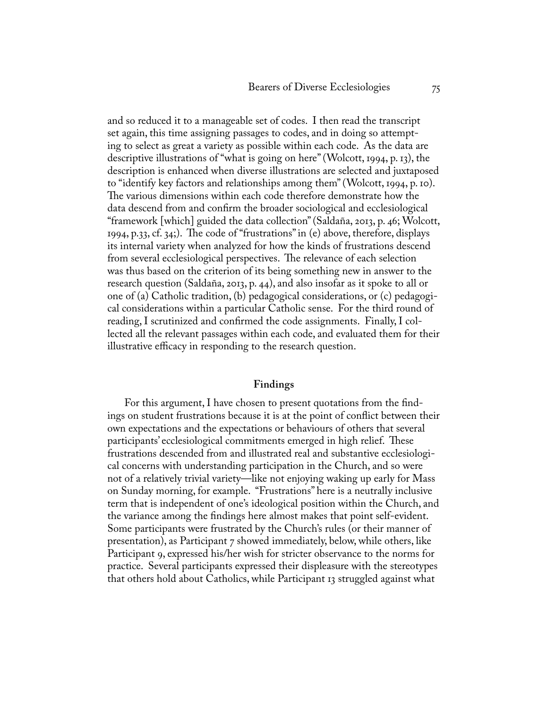and so reduced it to a manageable set of codes. I then read the transcript set again, this time assigning passages to codes, and in doing so attempting to select as great a variety as possible within each code. As the data are descriptive illustrations of "what is going on here" (Wolcott, 1994, p. 13), the description is enhanced when diverse illustrations are selected and juxtaposed to "identify key factors and relationships among them" (Wolcott, 1994, p. 10). The various dimensions within each code therefore demonstrate how the data descend from and confirm the broader sociological and ecclesiological "framework [which] guided the data collection" (Saldaña, 2013, p. 46; Wolcott, 1994, p.33, cf. 34;). The code of "frustrations" in (e) above, therefore, displays its internal variety when analyzed for how the kinds of frustrations descend from several ecclesiological perspectives. The relevance of each selection was thus based on the criterion of its being something new in answer to the research question (Saldaña, 2013, p. 44), and also insofar as it spoke to all or one of (a) Catholic tradition, (b) pedagogical considerations, or (c) pedagogical considerations within a particular Catholic sense. For the third round of reading, I scrutinized and confirmed the code assignments. Finally, I collected all the relevant passages within each code, and evaluated them for their illustrative efficacy in responding to the research question.

#### **Findings**

 For this argument, I have chosen to present quotations from the findings on student frustrations because it is at the point of conflict between their own expectations and the expectations or behaviours of others that several participants' ecclesiological commitments emerged in high relief. These frustrations descended from and illustrated real and substantive ecclesiological concerns with understanding participation in the Church, and so were not of a relatively trivial variety—like not enjoying waking up early for Mass on Sunday morning, for example. "Frustrations" here is a neutrally inclusive term that is independent of one's ideological position within the Church, and the variance among the findings here almost makes that point self-evident. Some participants were frustrated by the Church's rules (or their manner of presentation), as Participant 7 showed immediately, below, while others, like Participant 9, expressed his/her wish for stricter observance to the norms for practice. Several participants expressed their displeasure with the stereotypes that others hold about Catholics, while Participant 13 struggled against what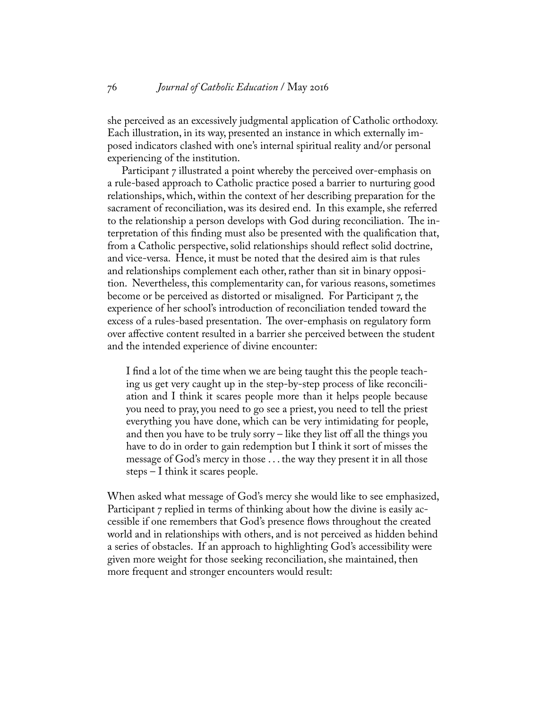she perceived as an excessively judgmental application of Catholic orthodoxy. Each illustration, in its way, presented an instance in which externally imposed indicators clashed with one's internal spiritual reality and/or personal experiencing of the institution.

Participant 7 illustrated a point whereby the perceived over-emphasis on a rule-based approach to Catholic practice posed a barrier to nurturing good relationships, which, within the context of her describing preparation for the sacrament of reconciliation, was its desired end. In this example, she referred to the relationship a person develops with God during reconciliation. The interpretation of this finding must also be presented with the qualification that, from a Catholic perspective, solid relationships should reflect solid doctrine, and vice-versa. Hence, it must be noted that the desired aim is that rules and relationships complement each other, rather than sit in binary opposition. Nevertheless, this complementarity can, for various reasons, sometimes become or be perceived as distorted or misaligned. For Participant 7, the experience of her school's introduction of reconciliation tended toward the excess of a rules-based presentation. The over-emphasis on regulatory form over affective content resulted in a barrier she perceived between the student and the intended experience of divine encounter:

I find a lot of the time when we are being taught this the people teaching us get very caught up in the step-by-step process of like reconciliation and I think it scares people more than it helps people because you need to pray, you need to go see a priest, you need to tell the priest everything you have done, which can be very intimidating for people, and then you have to be truly sorry – like they list off all the things you have to do in order to gain redemption but I think it sort of misses the message of God's mercy in those . . . the way they present it in all those steps – I think it scares people.

When asked what message of God's mercy she would like to see emphasized, Participant 7 replied in terms of thinking about how the divine is easily accessible if one remembers that God's presence flows throughout the created world and in relationships with others, and is not perceived as hidden behind a series of obstacles. If an approach to highlighting God's accessibility were given more weight for those seeking reconciliation, she maintained, then more frequent and stronger encounters would result: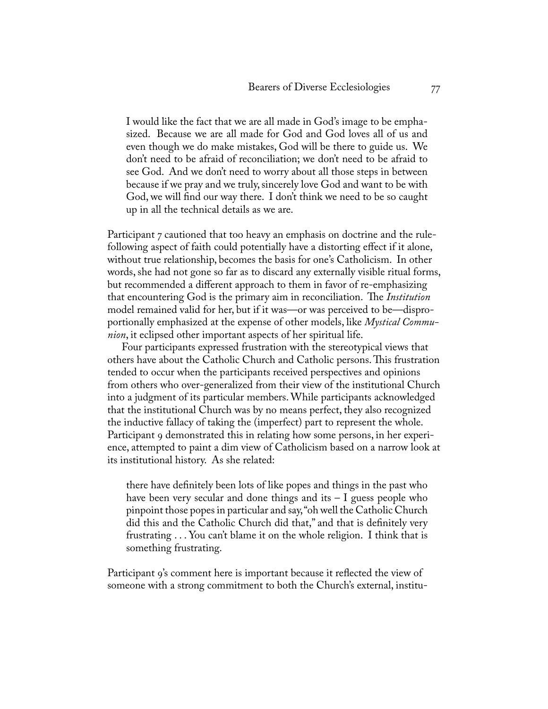I would like the fact that we are all made in God's image to be emphasized. Because we are all made for God and God loves all of us and even though we do make mistakes, God will be there to guide us. We don't need to be afraid of reconciliation; we don't need to be afraid to see God. And we don't need to worry about all those steps in between because if we pray and we truly, sincerely love God and want to be with God, we will find our way there. I don't think we need to be so caught up in all the technical details as we are.

Participant 7 cautioned that too heavy an emphasis on doctrine and the rulefollowing aspect of faith could potentially have a distorting effect if it alone, without true relationship, becomes the basis for one's Catholicism. In other words, she had not gone so far as to discard any externally visible ritual forms, but recommended a different approach to them in favor of re-emphasizing that encountering God is the primary aim in reconciliation. The *Institution* model remained valid for her, but if it was—or was perceived to be—disproportionally emphasized at the expense of other models, like *Mystical Communion*, it eclipsed other important aspects of her spiritual life.

Four participants expressed frustration with the stereotypical views that others have about the Catholic Church and Catholic persons. This frustration tended to occur when the participants received perspectives and opinions from others who over-generalized from their view of the institutional Church into a judgment of its particular members. While participants acknowledged that the institutional Church was by no means perfect, they also recognized the inductive fallacy of taking the (imperfect) part to represent the whole. Participant 9 demonstrated this in relating how some persons, in her experience, attempted to paint a dim view of Catholicism based on a narrow look at its institutional history. As she related:

there have definitely been lots of like popes and things in the past who have been very secular and done things and its  $-1$  guess people who pinpoint those popes in particular and say, "oh well the Catholic Church did this and the Catholic Church did that," and that is definitely very frustrating . . . You can't blame it on the whole religion. I think that is something frustrating.

Participant 9's comment here is important because it reflected the view of someone with a strong commitment to both the Church's external, institu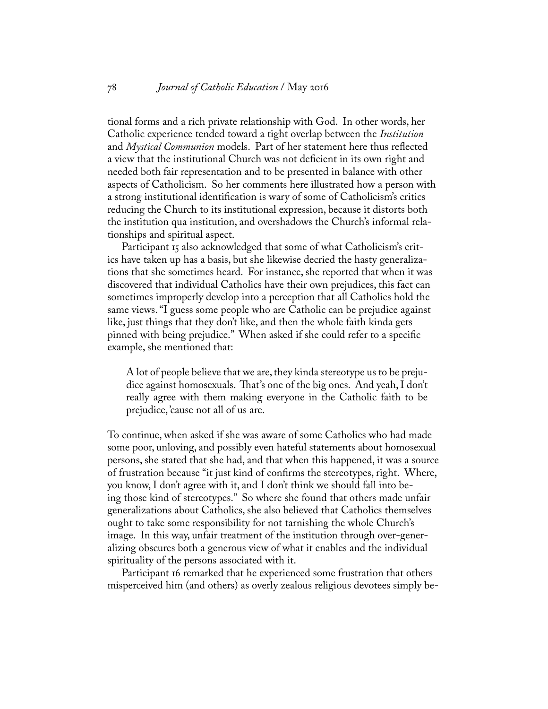tional forms and a rich private relationship with God. In other words, her Catholic experience tended toward a tight overlap between the *Institution* and *Mystical Communion* models. Part of her statement here thus reflected a view that the institutional Church was not deficient in its own right and needed both fair representation and to be presented in balance with other aspects of Catholicism. So her comments here illustrated how a person with a strong institutional identification is wary of some of Catholicism's critics reducing the Church to its institutional expression, because it distorts both the institution qua institution, and overshadows the Church's informal relationships and spiritual aspect.

Participant 15 also acknowledged that some of what Catholicism's critics have taken up has a basis, but she likewise decried the hasty generalizations that she sometimes heard. For instance, she reported that when it was discovered that individual Catholics have their own prejudices, this fact can sometimes improperly develop into a perception that all Catholics hold the same views. "I guess some people who are Catholic can be prejudice against like, just things that they don't like, and then the whole faith kinda gets pinned with being prejudice." When asked if she could refer to a specific example, she mentioned that:

A lot of people believe that we are, they kinda stereotype us to be prejudice against homosexuals. That's one of the big ones. And yeah, I don't really agree with them making everyone in the Catholic faith to be prejudice, 'cause not all of us are.

To continue, when asked if she was aware of some Catholics who had made some poor, unloving, and possibly even hateful statements about homosexual persons, she stated that she had, and that when this happened, it was a source of frustration because "it just kind of confirms the stereotypes, right. Where, you know, I don't agree with it, and I don't think we should fall into being those kind of stereotypes." So where she found that others made unfair generalizations about Catholics, she also believed that Catholics themselves ought to take some responsibility for not tarnishing the whole Church's image. In this way, unfair treatment of the institution through over-generalizing obscures both a generous view of what it enables and the individual spirituality of the persons associated with it.

Participant 16 remarked that he experienced some frustration that others misperceived him (and others) as overly zealous religious devotees simply be-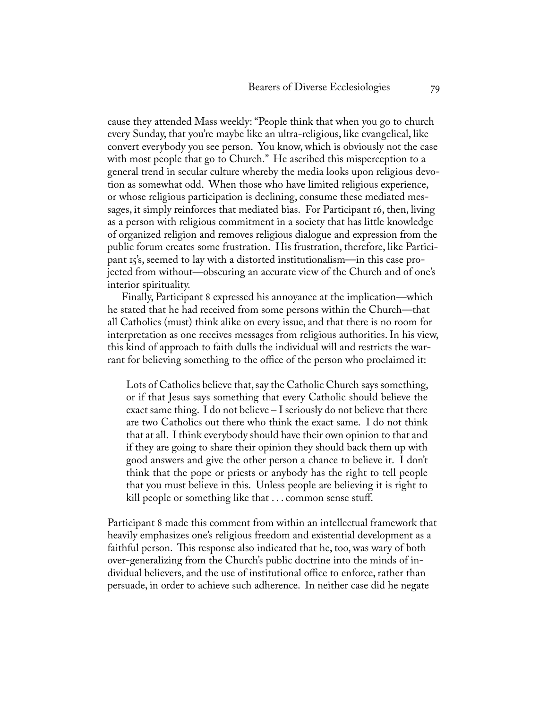cause they attended Mass weekly: "People think that when you go to church every Sunday, that you're maybe like an ultra-religious, like evangelical, like convert everybody you see person. You know, which is obviously not the case with most people that go to Church." He ascribed this misperception to a general trend in secular culture whereby the media looks upon religious devotion as somewhat odd. When those who have limited religious experience, or whose religious participation is declining, consume these mediated messages, it simply reinforces that mediated bias. For Participant 16, then, living as a person with religious commitment in a society that has little knowledge of organized religion and removes religious dialogue and expression from the public forum creates some frustration. His frustration, therefore, like Participant 15's, seemed to lay with a distorted institutionalism—in this case projected from without—obscuring an accurate view of the Church and of one's interior spirituality.

Finally, Participant 8 expressed his annoyance at the implication—which he stated that he had received from some persons within the Church—that all Catholics (must) think alike on every issue, and that there is no room for interpretation as one receives messages from religious authorities. In his view, this kind of approach to faith dulls the individual will and restricts the warrant for believing something to the office of the person who proclaimed it:

Lots of Catholics believe that, say the Catholic Church says something, or if that Jesus says something that every Catholic should believe the exact same thing. I do not believe – I seriously do not believe that there are two Catholics out there who think the exact same. I do not think that at all. I think everybody should have their own opinion to that and if they are going to share their opinion they should back them up with good answers and give the other person a chance to believe it. I don't think that the pope or priests or anybody has the right to tell people that you must believe in this. Unless people are believing it is right to kill people or something like that . . . common sense stuff.

Participant 8 made this comment from within an intellectual framework that heavily emphasizes one's religious freedom and existential development as a faithful person. This response also indicated that he, too, was wary of both over-generalizing from the Church's public doctrine into the minds of individual believers, and the use of institutional office to enforce, rather than persuade, in order to achieve such adherence. In neither case did he negate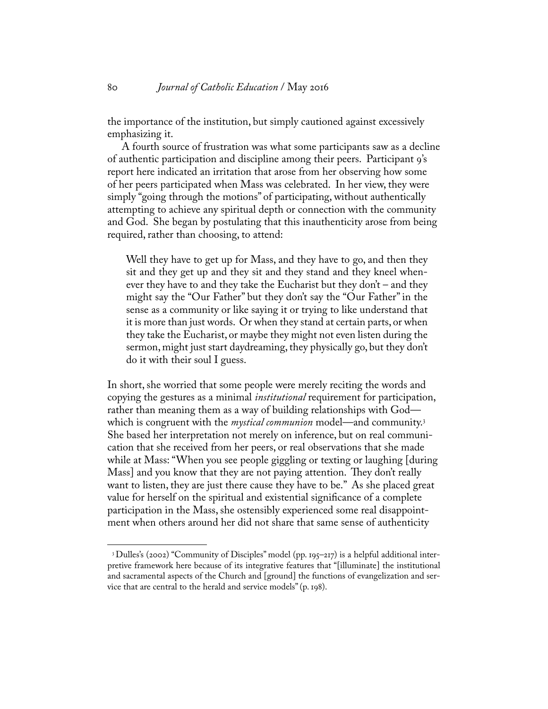the importance of the institution, but simply cautioned against excessively emphasizing it.

A fourth source of frustration was what some participants saw as a decline of authentic participation and discipline among their peers. Participant 9's report here indicated an irritation that arose from her observing how some of her peers participated when Mass was celebrated. In her view, they were simply "going through the motions" of participating, without authentically attempting to achieve any spiritual depth or connection with the community and God. She began by postulating that this inauthenticity arose from being required, rather than choosing, to attend:

Well they have to get up for Mass, and they have to go, and then they sit and they get up and they sit and they stand and they kneel whenever they have to and they take the Eucharist but they don't – and they might say the "Our Father" but they don't say the "Our Father" in the sense as a community or like saying it or trying to like understand that it is more than just words. Or when they stand at certain parts, or when they take the Eucharist, or maybe they might not even listen during the sermon, might just start daydreaming, they physically go, but they don't do it with their soul I guess.

In short, she worried that some people were merely reciting the words and copying the gestures as a minimal *institutional* requirement for participation, rather than meaning them as a way of building relationships with God which is congruent with the *mystical communion* model—and community.3 She based her interpretation not merely on inference, but on real communication that she received from her peers, or real observations that she made while at Mass: "When you see people giggling or texting or laughing [during Mass] and you know that they are not paying attention. They don't really want to listen, they are just there cause they have to be." As she placed great value for herself on the spiritual and existential significance of a complete participation in the Mass, she ostensibly experienced some real disappointment when others around her did not share that same sense of authenticity

<sup>&</sup>lt;sup>3</sup> Dulles's (2002) "Community of Disciples" model (pp. 195–217) is a helpful additional interpretive framework here because of its integrative features that "[illuminate] the institutional and sacramental aspects of the Church and [ground] the functions of evangelization and service that are central to the herald and service models" (p. 198).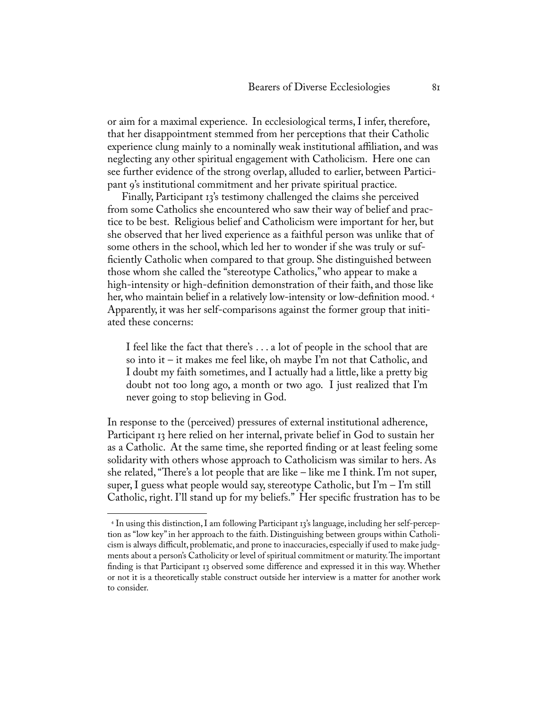or aim for a maximal experience. In ecclesiological terms, I infer, therefore, that her disappointment stemmed from her perceptions that their Catholic experience clung mainly to a nominally weak institutional affiliation, and was neglecting any other spiritual engagement with Catholicism. Here one can see further evidence of the strong overlap, alluded to earlier, between Participant 9's institutional commitment and her private spiritual practice.

Finally, Participant 13's testimony challenged the claims she perceived from some Catholics she encountered who saw their way of belief and practice to be best. Religious belief and Catholicism were important for her, but she observed that her lived experience as a faithful person was unlike that of some others in the school, which led her to wonder if she was truly or sufficiently Catholic when compared to that group. She distinguished between those whom she called the "stereotype Catholics," who appear to make a high-intensity or high-definition demonstration of their faith, and those like her, who maintain belief in a relatively low-intensity or low-definition mood. 4 Apparently, it was her self-comparisons against the former group that initiated these concerns:

I feel like the fact that there's . . . a lot of people in the school that are so into it – it makes me feel like, oh maybe I'm not that Catholic, and I doubt my faith sometimes, and I actually had a little, like a pretty big doubt not too long ago, a month or two ago. I just realized that I'm never going to stop believing in God.

In response to the (perceived) pressures of external institutional adherence, Participant 13 here relied on her internal, private belief in God to sustain her as a Catholic. At the same time, she reported finding or at least feeling some solidarity with others whose approach to Catholicism was similar to hers. As she related, "There's a lot people that are like – like me I think. I'm not super, super, I guess what people would say, stereotype Catholic, but I'm – I'm still Catholic, right. I'll stand up for my beliefs." Her specific frustration has to be

 <sup>4</sup> In using this distinction, I am following Participant 13's language, including her self-perception as "low key" in her approach to the faith. Distinguishing between groups within Catholicism is always difficult, problematic, and prone to inaccuracies, especially if used to make judgments about a person's Catholicity or level of spiritual commitment or maturity. The important finding is that Participant 13 observed some difference and expressed it in this way. Whether or not it is a theoretically stable construct outside her interview is a matter for another work to consider.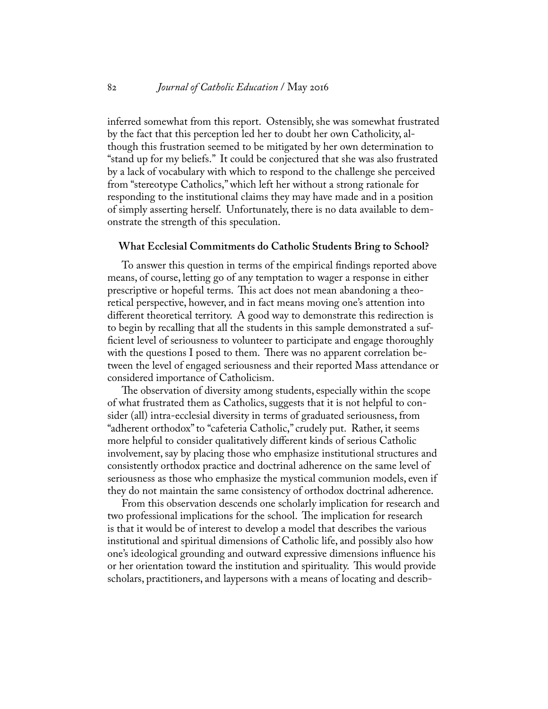inferred somewhat from this report. Ostensibly, she was somewhat frustrated by the fact that this perception led her to doubt her own Catholicity, although this frustration seemed to be mitigated by her own determination to "stand up for my beliefs." It could be conjectured that she was also frustrated by a lack of vocabulary with which to respond to the challenge she perceived from "stereotype Catholics," which left her without a strong rationale for responding to the institutional claims they may have made and in a position of simply asserting herself. Unfortunately, there is no data available to demonstrate the strength of this speculation.

#### **What Ecclesial Commitments do Catholic Students Bring to School?**

To answer this question in terms of the empirical findings reported above means, of course, letting go of any temptation to wager a response in either prescriptive or hopeful terms. This act does not mean abandoning a theoretical perspective, however, and in fact means moving one's attention into different theoretical territory. A good way to demonstrate this redirection is to begin by recalling that all the students in this sample demonstrated a sufficient level of seriousness to volunteer to participate and engage thoroughly with the questions I posed to them. There was no apparent correlation between the level of engaged seriousness and their reported Mass attendance or considered importance of Catholicism.

The observation of diversity among students, especially within the scope of what frustrated them as Catholics, suggests that it is not helpful to consider (all) intra-ecclesial diversity in terms of graduated seriousness, from "adherent orthodox" to "cafeteria Catholic," crudely put. Rather, it seems more helpful to consider qualitatively different kinds of serious Catholic involvement, say by placing those who emphasize institutional structures and consistently orthodox practice and doctrinal adherence on the same level of seriousness as those who emphasize the mystical communion models, even if they do not maintain the same consistency of orthodox doctrinal adherence.

From this observation descends one scholarly implication for research and two professional implications for the school. The implication for research is that it would be of interest to develop a model that describes the various institutional and spiritual dimensions of Catholic life, and possibly also how one's ideological grounding and outward expressive dimensions influence his or her orientation toward the institution and spirituality. This would provide scholars, practitioners, and laypersons with a means of locating and describ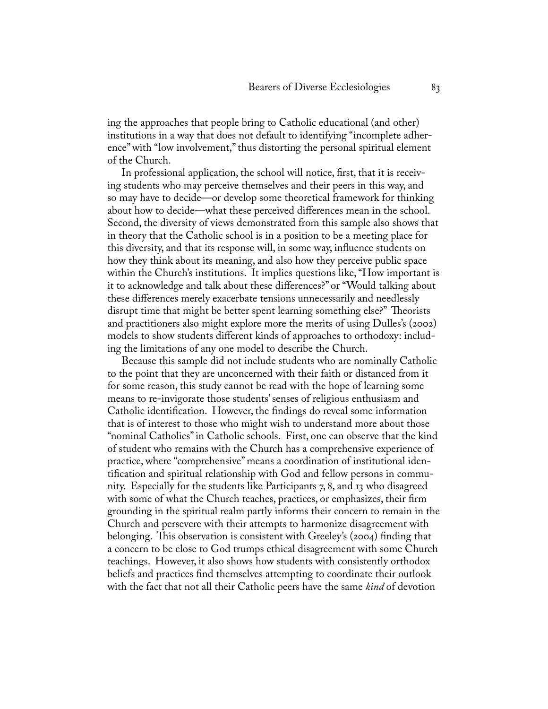ing the approaches that people bring to Catholic educational (and other) institutions in a way that does not default to identifying "incomplete adherence" with "low involvement," thus distorting the personal spiritual element of the Church.

In professional application, the school will notice, first, that it is receiving students who may perceive themselves and their peers in this way, and so may have to decide—or develop some theoretical framework for thinking about how to decide—what these perceived differences mean in the school. Second, the diversity of views demonstrated from this sample also shows that in theory that the Catholic school is in a position to be a meeting place for this diversity, and that its response will, in some way, influence students on how they think about its meaning, and also how they perceive public space within the Church's institutions. It implies questions like, "How important is it to acknowledge and talk about these differences?" or "Would talking about these differences merely exacerbate tensions unnecessarily and needlessly disrupt time that might be better spent learning something else?" Theorists and practitioners also might explore more the merits of using Dulles's (2002) models to show students different kinds of approaches to orthodoxy: including the limitations of any one model to describe the Church.

Because this sample did not include students who are nominally Catholic to the point that they are unconcerned with their faith or distanced from it for some reason, this study cannot be read with the hope of learning some means to re-invigorate those students' senses of religious enthusiasm and Catholic identification. However, the findings do reveal some information that is of interest to those who might wish to understand more about those "nominal Catholics" in Catholic schools. First, one can observe that the kind of student who remains with the Church has a comprehensive experience of practice, where "comprehensive" means a coordination of institutional identification and spiritual relationship with God and fellow persons in community. Especially for the students like Participants 7, 8, and 13 who disagreed with some of what the Church teaches, practices, or emphasizes, their firm grounding in the spiritual realm partly informs their concern to remain in the Church and persevere with their attempts to harmonize disagreement with belonging. This observation is consistent with Greeley's (2004) finding that a concern to be close to God trumps ethical disagreement with some Church teachings. However, it also shows how students with consistently orthodox beliefs and practices find themselves attempting to coordinate their outlook with the fact that not all their Catholic peers have the same *kind* of devotion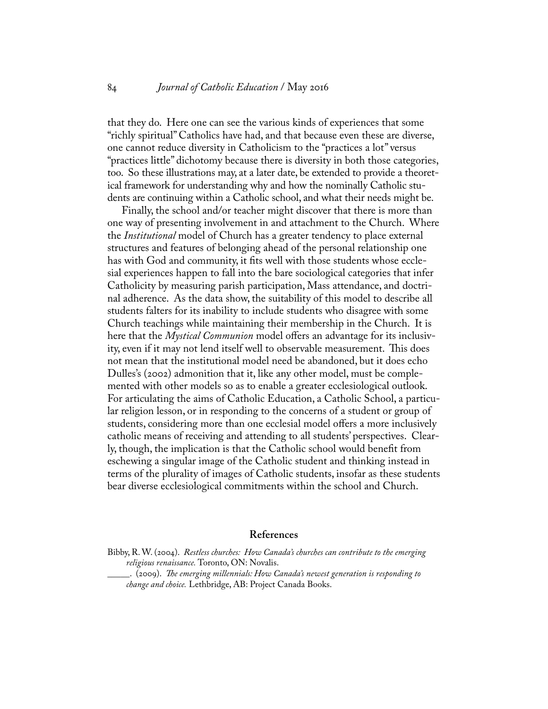that they do. Here one can see the various kinds of experiences that some "richly spiritual" Catholics have had, and that because even these are diverse, one cannot reduce diversity in Catholicism to the "practices a lot" versus "practices little" dichotomy because there is diversity in both those categories, too. So these illustrations may, at a later date, be extended to provide a theoretical framework for understanding why and how the nominally Catholic students are continuing within a Catholic school, and what their needs might be.

Finally, the school and/or teacher might discover that there is more than one way of presenting involvement in and attachment to the Church. Where the *Institutional* model of Church has a greater tendency to place external structures and features of belonging ahead of the personal relationship one has with God and community, it fits well with those students whose ecclesial experiences happen to fall into the bare sociological categories that infer Catholicity by measuring parish participation, Mass attendance, and doctrinal adherence. As the data show, the suitability of this model to describe all students falters for its inability to include students who disagree with some Church teachings while maintaining their membership in the Church. It is here that the *Mystical Communion* model offers an advantage for its inclusivity, even if it may not lend itself well to observable measurement. This does not mean that the institutional model need be abandoned, but it does echo Dulles's (2002) admonition that it, like any other model, must be complemented with other models so as to enable a greater ecclesiological outlook. For articulating the aims of Catholic Education, a Catholic School, a particular religion lesson, or in responding to the concerns of a student or group of students, considering more than one ecclesial model offers a more inclusively catholic means of receiving and attending to all students' perspectives. Clearly, though, the implication is that the Catholic school would benefit from eschewing a singular image of the Catholic student and thinking instead in terms of the plurality of images of Catholic students, insofar as these students bear diverse ecclesiological commitments within the school and Church.

#### **References**

- Bibby, R. W. (2004). *Restless churches: How Canada's churches can contribute to the emerging religious renaissance.* Toronto, ON: Novalis.
	- \_\_\_\_\_. (2009). *The emerging millennials: How Canada's newest generation is responding to change and choice.* Lethbridge, AB: Project Canada Books.